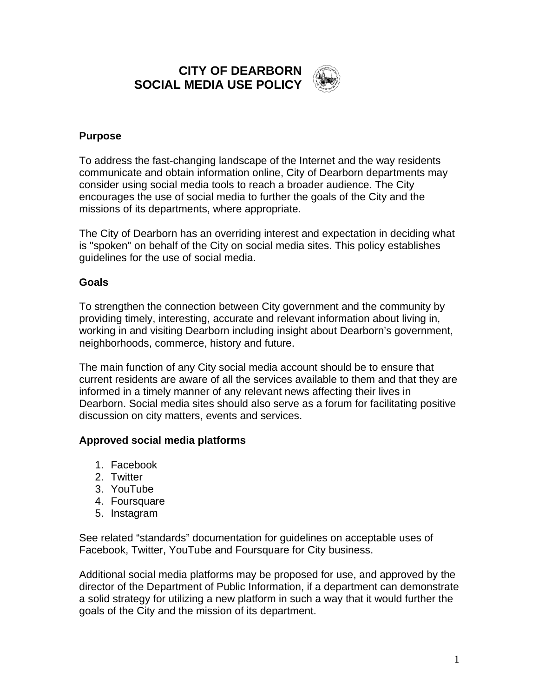**CITY OF DEARBORN SOCIAL MEDIA USE POLICY**



# **Purpose**

To address the fast-changing landscape of the Internet and the way residents communicate and obtain information online, City of Dearborn departments may consider using social media tools to reach a broader audience. The City encourages the use of social media to further the goals of the City and the missions of its departments, where appropriate.

The City of Dearborn has an overriding interest and expectation in deciding what is "spoken" on behalf of the City on social media sites. This policy establishes guidelines for the use of social media.

### **Goals**

To strengthen the connection between City government and the community by providing timely, interesting, accurate and relevant information about living in, working in and visiting Dearborn including insight about Dearborn's government, neighborhoods, commerce, history and future.

The main function of any City social media account should be to ensure that current residents are aware of all the services available to them and that they are informed in a timely manner of any relevant news affecting their lives in Dearborn. Social media sites should also serve as a forum for facilitating positive discussion on city matters, events and services.

### **Approved social media platforms**

- 1. Facebook
- 2. Twitter
- 3. YouTube
- 4. Foursquare
- 5. Instagram

See related "standards" documentation for guidelines on acceptable uses of Facebook, Twitter, YouTube and Foursquare for City business.

Additional social media platforms may be proposed for use, and approved by the director of the Department of Public Information, if a department can demonstrate a solid strategy for utilizing a new platform in such a way that it would further the goals of the City and the mission of its department.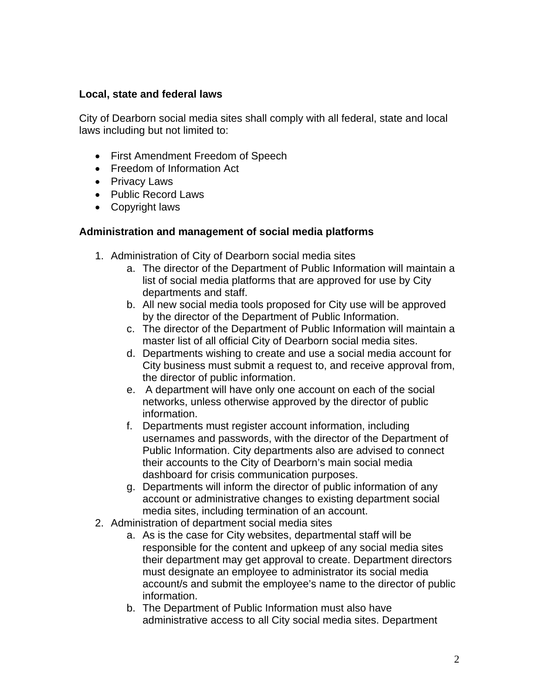### **Local, state and federal laws**

City of Dearborn social media sites shall comply with all federal, state and local laws including but not limited to:

- First Amendment Freedom of Speech
- Freedom of Information Act
- Privacy Laws
- Public Record Laws
- Copyright laws

# **Administration and management of social media platforms**

- 1. Administration of City of Dearborn social media sites
	- a. The director of the Department of Public Information will maintain a list of social media platforms that are approved for use by City departments and staff.
	- b. All new social media tools proposed for City use will be approved by the director of the Department of Public Information.
	- c. The director of the Department of Public Information will maintain a master list of all official City of Dearborn social media sites.
	- d. Departments wishing to create and use a social media account for City business must submit a request to, and receive approval from, the director of public information.
	- e. A department will have only one account on each of the social networks, unless otherwise approved by the director of public information.
	- f. Departments must register account information, including usernames and passwords, with the director of the Department of Public Information. City departments also are advised to connect their accounts to the City of Dearborn's main social media dashboard for crisis communication purposes.
	- g. Departments will inform the director of public information of any account or administrative changes to existing department social media sites, including termination of an account.
- 2. Administration of department social media sites
	- a. As is the case for City websites, departmental staff will be responsible for the content and upkeep of any social media sites their department may get approval to create. Department directors must designate an employee to administrator its social media account/s and submit the employee's name to the director of public information.
	- b. The Department of Public Information must also have administrative access to all City social media sites. Department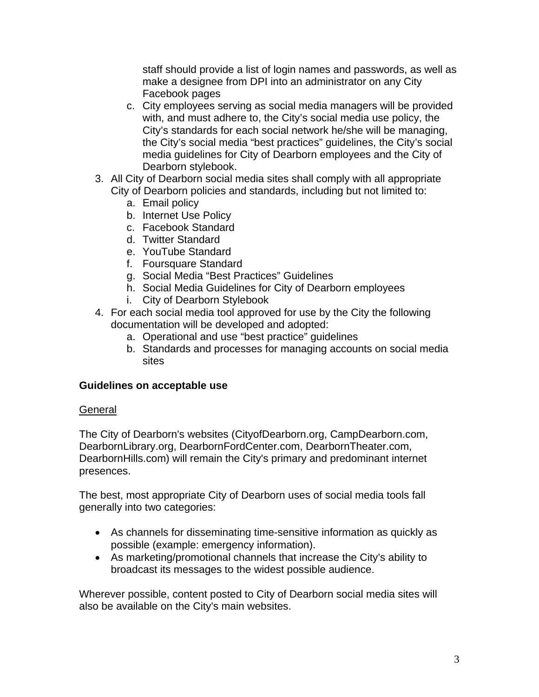staff should provide a list of login names and passwords, as well as make a designee from DPI into an administrator on any City Facebook pages

- c. City employees serving as social media managers will be provided with, and must adhere to, the City's social media use policy, the City's standards for each social network he/she will be managing, the City's social media "best practices" guidelines, the City's social media guidelines for City of Dearborn employees and the City of Dearborn stylebook.
- 3. All City of Dearborn social media sites shall comply with all appropriate City of Dearborn policies and standards, including but not limited to:
	- a. Email policy
	- b. Internet Use Policy
	- c. Facebook Standard
	- d. Twitter Standard
	- e. YouTube Standard
	- f. Foursquare Standard
	- g. Social Media "Best Practices" Guidelines
	- h. Social Media Guidelines for City of Dearborn employees
	- i. City of Dearborn Stylebook
- 4. For each social media tool approved for use by the City the following documentation will be developed and adopted:
	- a. Operational and use "best practice" guidelines
	- b. Standards and processes for managing accounts on social media sites

### **Guidelines on acceptable use**

### General

The City of Dearborn's websites (CityofDearborn.org, CampDearborn.com, DearbornLibrary.org, DearbornFordCenter.com, DearbornTheater.com, DearbornHills.com) will remain the City's primary and predominant internet presences.

The best, most appropriate City of Dearborn uses of social media tools fall generally into two categories:

- As channels for disseminating time-sensitive information as quickly as possible (example: emergency information).
- As marketing/promotional channels that increase the City's ability to broadcast its messages to the widest possible audience.

Wherever possible, content posted to City of Dearborn social media sites will also be available on the City's main websites.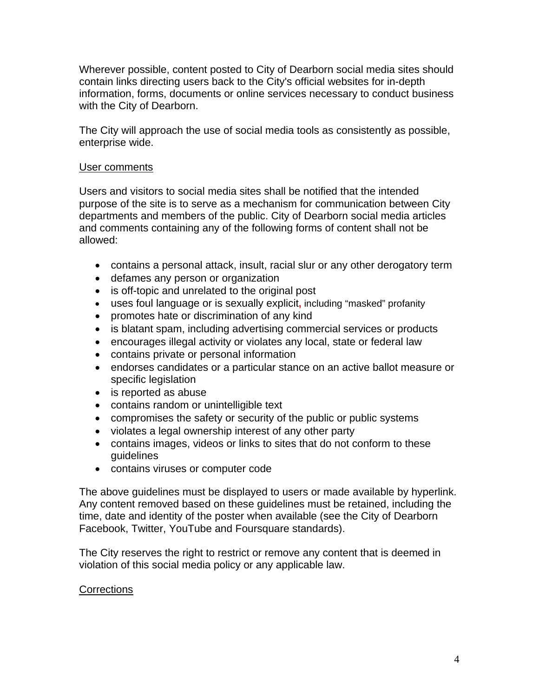Wherever possible, content posted to City of Dearborn social media sites should contain links directing users back to the City's official websites for in-depth information, forms, documents or online services necessary to conduct business with the City of Dearborn.

The City will approach the use of social media tools as consistently as possible, enterprise wide.

#### User comments

Users and visitors to social media sites shall be notified that the intended purpose of the site is to serve as a mechanism for communication between City departments and members of the public. City of Dearborn social media articles and comments containing any of the following forms of content shall not be allowed:

- contains a personal attack, insult, racial slur or any other derogatory term
- defames any person or organization
- is off-topic and unrelated to the original post
- uses foul language or is sexually explicit**,** including "masked" profanity
- promotes hate or discrimination of any kind
- is blatant spam, including advertising commercial services or products
- encourages illegal activity or violates any local, state or federal law
- contains private or personal information
- endorses candidates or a particular stance on an active ballot measure or specific legislation
- is reported as abuse
- contains random or unintelligible text
- compromises the safety or security of the public or public systems
- violates a legal ownership interest of any other party
- contains images, videos or links to sites that do not conform to these guidelines
- contains viruses or computer code

The above guidelines must be displayed to users or made available by hyperlink. Any content removed based on these guidelines must be retained, including the time, date and identity of the poster when available (see the City of Dearborn Facebook, Twitter, YouTube and Foursquare standards).

The City reserves the right to restrict or remove any content that is deemed in violation of this social media policy or any applicable law.

### **Corrections**